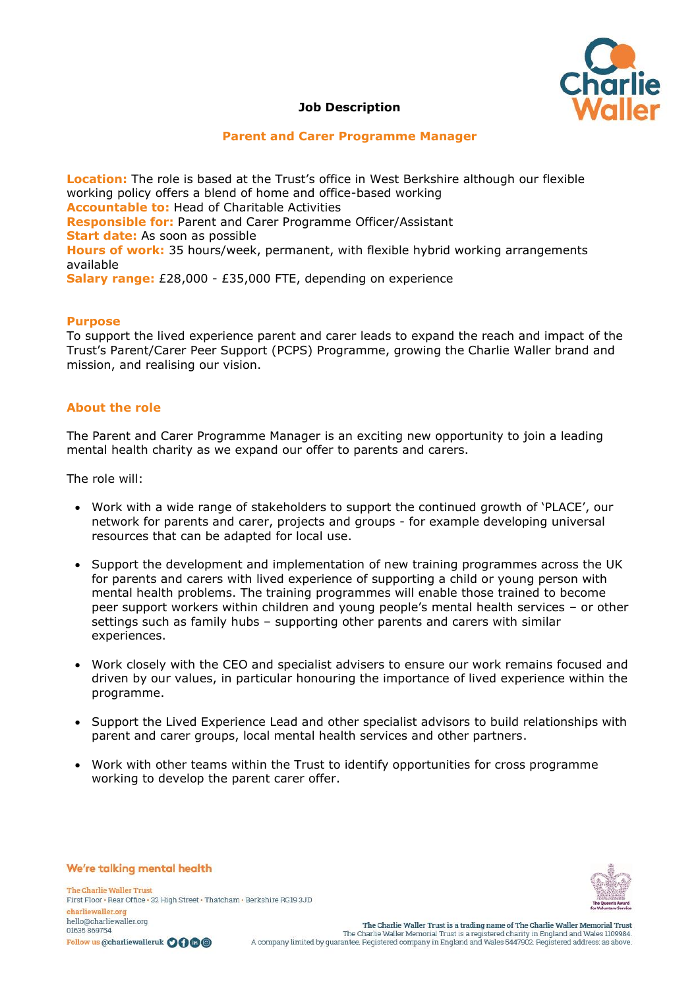

## **Job Description**

#### **Parent and Carer Programme Manager**

**Location:** The role is based at the Trust's office in West Berkshire although our flexible working policy offers a blend of home and office-based working **Accountable to:** Head of Charitable Activities **Responsible for:** Parent and Carer Programme Officer/Assistant **Start date:** As soon as possible **Hours of work:** 35 hours/week, permanent, with flexible hybrid working arrangements available **Salary range:** £28,000 - £35,000 FTE, depending on experience

#### **Purpose**

To support the lived experience parent and carer leads to expand the reach and impact of the Trust's Parent/Carer Peer Support (PCPS) Programme, growing the Charlie Waller brand and mission, and realising our vision.

#### **About the role**

The Parent and Carer Programme Manager is an exciting new opportunity to join a leading mental health charity as we expand our offer to parents and carers.

The role will:

- Work with a wide range of stakeholders to support the continued growth of 'PLACE', our network for parents and carer, projects and groups - for example developing universal resources that can be adapted for local use.
- Support the development and implementation of new training programmes across the UK for parents and carers with lived experience of supporting a child or young person with mental health problems. The training programmes will enable those trained to become peer support workers within children and young people's mental health services – or other settings such as family hubs – supporting other parents and carers with similar experiences.
- Work closely with the CEO and specialist advisers to ensure our work remains focused and driven by our values, in particular honouring the importance of lived experience within the programme.
- Support the Lived Experience Lead and other specialist advisors to build relationships with parent and carer groups, local mental health services and other partners.
- Work with other teams within the Trust to identify opportunities for cross programme working to develop the parent carer offer.



The Charlie Waller Trust First Floor . Rear Office . 32 High Street . Thatcham . Berkshire RG19 3JD charliewaller.org hello@charliewaller.org 01635869754 Follow us @charliewalleruk 0000

We're talking mental health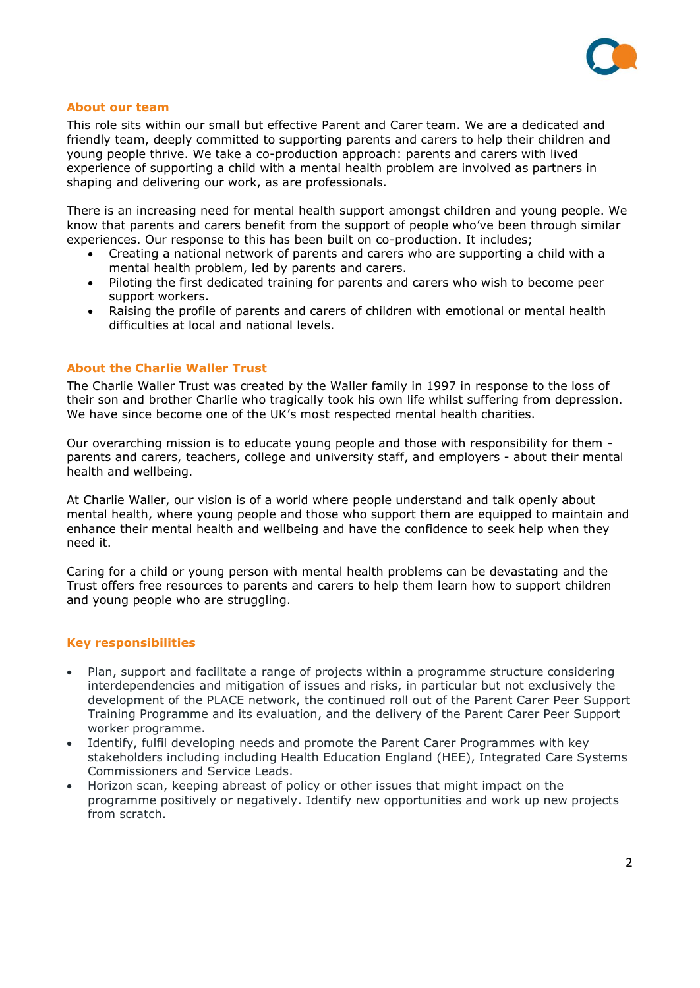

#### **About our team**

This role sits within our small but effective Parent and Carer team. We are a dedicated and friendly team, deeply committed to supporting parents and carers to help their children and young people thrive. We take a co-production approach: parents and carers with lived experience of supporting a child with a mental health problem are involved as partners in shaping and delivering our work, as are professionals.

There is an increasing need for mental health support amongst children and young people. We know that parents and carers benefit from the support of people who've been through similar experiences. Our response to this has been built on co-production. It includes;

- Creating a national network of parents and carers who are supporting a child with a mental health problem, led by parents and carers.
- Piloting the first dedicated training for parents and carers who wish to become peer support workers.
- Raising the profile of parents and carers of children with emotional or mental health difficulties at local and national levels.

#### **About the Charlie Waller Trust**

The Charlie Waller Trust was created by the Waller family in 1997 in response to the loss of their son and brother Charlie who tragically took his own life whilst suffering from depression. We have since become one of the UK's most respected mental health charities.

Our overarching mission is to educate young people and those with responsibility for them parents and carers, teachers, college and university staff, and employers - about their mental health and wellbeing.

At Charlie Waller, our vision is of a world where people understand and talk openly about mental health, where young people and those who support them are equipped to maintain and enhance their mental health and wellbeing and have the confidence to seek help when they need it.

Caring for a child or young person with mental health problems can be devastating and the Trust offers free resources to parents and carers to help them learn how to support children and young people who are struggling.

#### **Key responsibilities**

- Plan, support and facilitate a range of projects within a programme structure considering interdependencies and mitigation of issues and risks, in particular but not exclusively the development of the PLACE network, the continued roll out of the Parent Carer Peer Support Training Programme and its evaluation, and the delivery of the Parent Carer Peer Support worker programme.
- Identify, fulfil developing needs and promote the Parent Carer Programmes with key stakeholders including including Health Education England (HEE), Integrated Care Systems Commissioners and Service Leads.
- Horizon scan, keeping abreast of policy or other issues that might impact on the programme positively or negatively. Identify new opportunities and work up new projects from scratch.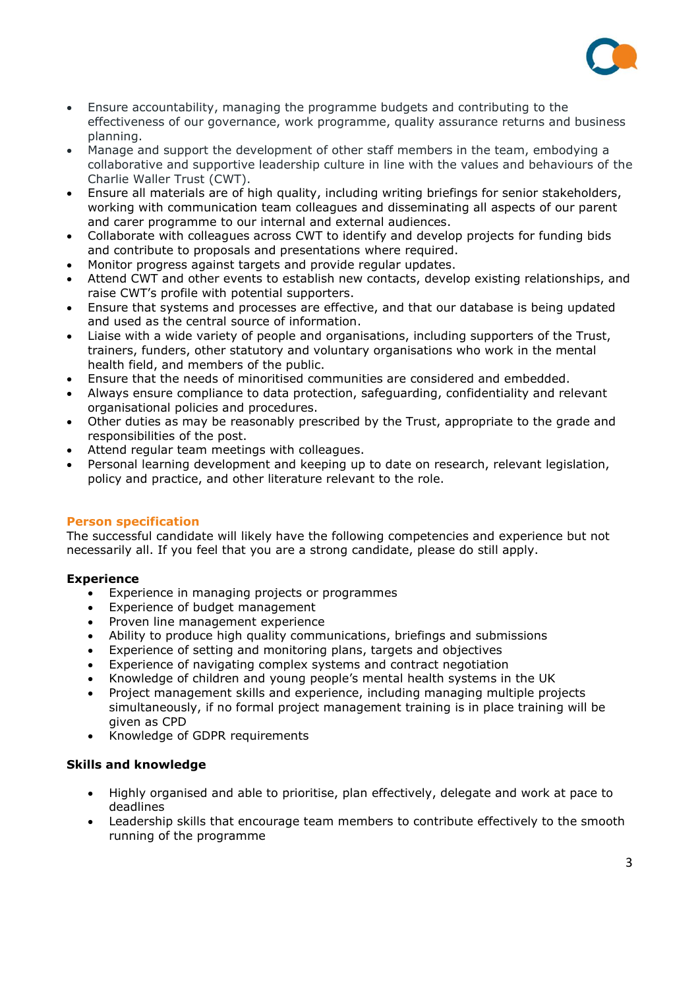

- Ensure accountability, managing the programme budgets and contributing to the effectiveness of our governance, work programme, quality assurance returns and business planning.
- Manage and support the development of other staff members in the team, embodying a collaborative and supportive leadership culture in line with the values and behaviours of the Charlie Waller Trust (CWT).
- Ensure all materials are of high quality, including writing briefings for senior stakeholders, working with communication team colleagues and disseminating all aspects of our parent and carer programme to our internal and external audiences.
- Collaborate with colleagues across CWT to identify and develop projects for funding bids and contribute to proposals and presentations where required.
- Monitor progress against targets and provide regular updates.
- Attend CWT and other events to establish new contacts, develop existing relationships, and raise CWT's profile with potential supporters.
- Ensure that systems and processes are effective, and that our database is being updated and used as the central source of information.
- Liaise with a wide variety of people and organisations, including supporters of the Trust, trainers, funders, other statutory and voluntary organisations who work in the mental health field, and members of the public.
- Ensure that the needs of minoritised communities are considered and embedded.
- Always ensure compliance to data protection, safeguarding, confidentiality and relevant organisational policies and procedures.
- Other duties as may be reasonably prescribed by the Trust, appropriate to the grade and responsibilities of the post.
- Attend regular team meetings with colleagues.
- Personal learning development and keeping up to date on research, relevant legislation, policy and practice, and other literature relevant to the role.

## **Person specification**

The successful candidate will likely have the following competencies and experience but not necessarily all. If you feel that you are a strong candidate, please do still apply.

## **Experience**

- Experience in managing projects or programmes
- Experience of budget management
- Proven line management experience
- Ability to produce high quality communications, briefings and submissions
- Experience of setting and monitoring plans, targets and objectives
- Experience of navigating complex systems and contract negotiation
- Knowledge of children and young people's mental health systems in the UK
- Project management skills and experience, including managing multiple projects simultaneously, if no formal project management training is in place training will be given as CPD
- Knowledge of GDPR requirements

## **Skills and knowledge**

- Highly organised and able to prioritise, plan effectively, delegate and work at pace to deadlines
- Leadership skills that encourage team members to contribute effectively to the smooth running of the programme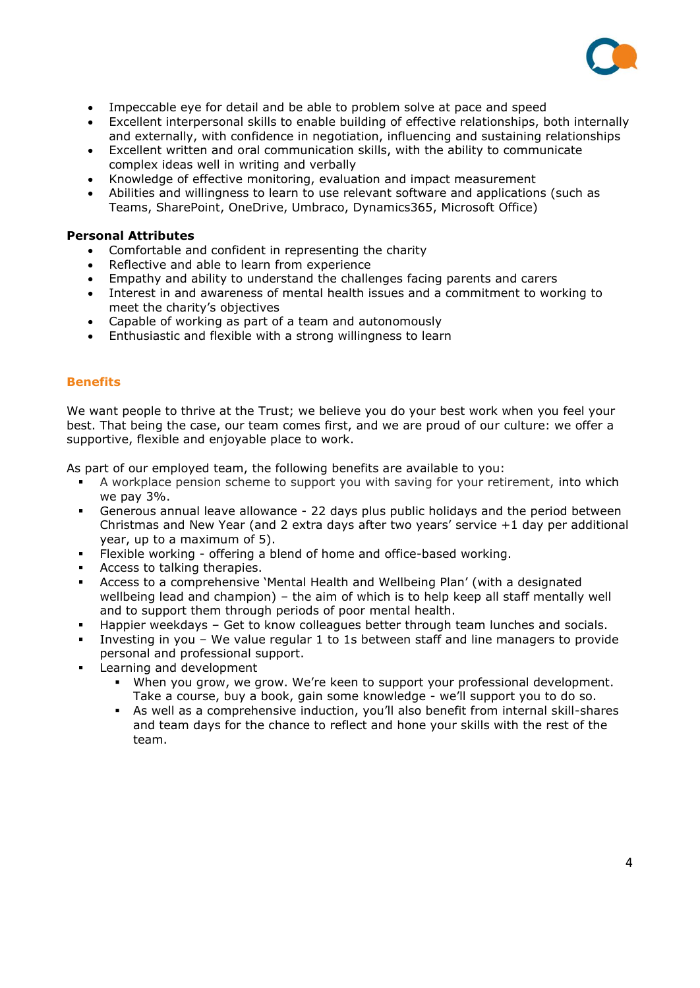

- Impeccable eye for detail and be able to problem solve at pace and speed
- Excellent interpersonal skills to enable building of effective relationships, both internally and externally, with confidence in negotiation, influencing and sustaining relationships
- Excellent written and oral communication skills, with the ability to communicate complex ideas well in writing and verbally
- Knowledge of effective monitoring, evaluation and impact measurement
- Abilities and willingness to learn to use relevant software and applications (such as Teams, SharePoint, OneDrive, Umbraco, Dynamics365, Microsoft Office)

## **Personal Attributes**

- Comfortable and confident in representing the charity
- Reflective and able to learn from experience
- Empathy and ability to understand the challenges facing parents and carers
- Interest in and awareness of mental health issues and a commitment to working to meet the charity's objectives
- Capable of working as part of a team and autonomously
- Enthusiastic and flexible with a strong willingness to learn

## **Benefits**

We want people to thrive at the Trust; we believe you do your best work when you feel your best. That being the case, our team comes first, and we are proud of our culture: we offer a supportive, flexible and enjoyable place to work.

As part of our employed team, the following benefits are available to you:

- A workplace pension scheme to support you with saving for your retirement, into which we pay 3%.
- Generous annual leave allowance 22 days plus public holidays and the period between Christmas and New Year (and 2 extra days after two years' service +1 day per additional year, up to a maximum of 5).
- Flexible working offering a blend of home and office-based working.
- Access to talking therapies.
- Access to a comprehensive 'Mental Health and Wellbeing Plan' (with a designated wellbeing lead and champion) – the aim of which is to help keep all staff mentally well and to support them through periods of poor mental health.
- Happier weekdays Get to know colleagues better through team lunches and socials.
- Investing in you We value regular 1 to 1s between staff and line managers to provide personal and professional support.
- **EXEC** Learning and development
	- When you grow, we grow. We're keen to support your professional development. Take a course, buy a book, gain some knowledge - we'll support you to do so.
	- **EX** As well as a comprehensive induction, you'll also benefit from internal skill-shares and team days for the chance to reflect and hone your skills with the rest of the team.